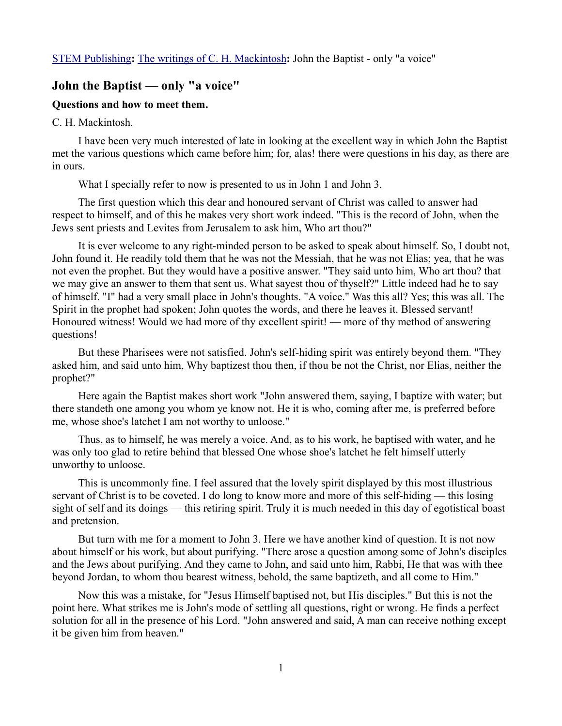## **John the Baptist — only "a voice"**

## **Questions and how to meet them.**

## C. H. Mackintosh.

I have been very much interested of late in looking at the excellent way in which John the Baptist met the various questions which came before him; for, alas! there were questions in his day, as there are in ours.

What I specially refer to now is presented to us in John 1 and John 3.

The first question which this dear and honoured servant of Christ was called to answer had respect to himself, and of this he makes very short work indeed. "This is the record of John, when the Jews sent priests and Levites from Jerusalem to ask him, Who art thou?"

It is ever welcome to any right-minded person to be asked to speak about himself. So, I doubt not, John found it. He readily told them that he was not the Messiah, that he was not Elias; yea, that he was not even the prophet. But they would have a positive answer. "They said unto him, Who art thou? that we may give an answer to them that sent us. What sayest thou of thyself?" Little indeed had he to say of himself. "I" had a very small place in John's thoughts. "A voice." Was this all? Yes; this was all. The Spirit in the prophet had spoken; John quotes the words, and there he leaves it. Blessed servant! Honoured witness! Would we had more of thy excellent spirit! — more of thy method of answering questions!

But these Pharisees were not satisfied. John's self-hiding spirit was entirely beyond them. "They asked him, and said unto him, Why baptizest thou then, if thou be not the Christ, nor Elias, neither the prophet?"

Here again the Baptist makes short work "John answered them, saying, I baptize with water; but there standeth one among you whom ye know not. He it is who, coming after me, is preferred before me, whose shoe's latchet I am not worthy to unloose."

Thus, as to himself, he was merely a voice. And, as to his work, he baptised with water, and he was only too glad to retire behind that blessed One whose shoe's latchet he felt himself utterly unworthy to unloose.

This is uncommonly fine. I feel assured that the lovely spirit displayed by this most illustrious servant of Christ is to be coveted. I do long to know more and more of this self-hiding — this losing sight of self and its doings — this retiring spirit. Truly it is much needed in this day of egotistical boast and pretension.

But turn with me for a moment to John 3. Here we have another kind of question. It is not now about himself or his work, but about purifying. "There arose a question among some of John's disciples and the Jews about purifying. And they came to John, and said unto him, Rabbi, He that was with thee beyond Jordan, to whom thou bearest witness, behold, the same baptizeth, and all come to Him."

Now this was a mistake, for "Jesus Himself baptised not, but His disciples." But this is not the point here. What strikes me is John's mode of settling all questions, right or wrong. He finds a perfect solution for all in the presence of his Lord. "John answered and said, A man can receive nothing except it be given him from heaven."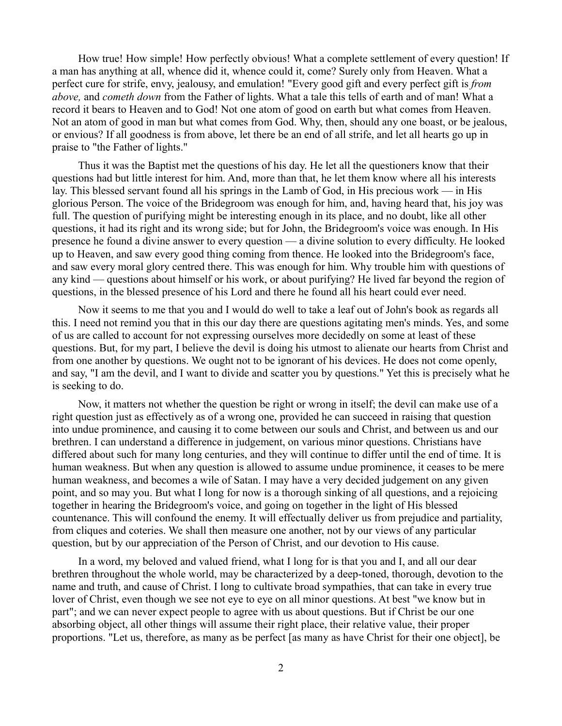How true! How simple! How perfectly obvious! What a complete settlement of every question! If a man has anything at all, whence did it, whence could it, come? Surely only from Heaven. What a perfect cure for strife, envy, jealousy, and emulation! "Every good gift and every perfect gift is *from above,* and *cometh down* from the Father of lights. What a tale this tells of earth and of man! What a record it bears to Heaven and to God! Not one atom of good on earth but what comes from Heaven. Not an atom of good in man but what comes from God. Why, then, should any one boast, or be jealous, or envious? If all goodness is from above, let there be an end of all strife, and let all hearts go up in praise to "the Father of lights."

Thus it was the Baptist met the questions of his day. He let all the questioners know that their questions had but little interest for him. And, more than that, he let them know where all his interests lay. This blessed servant found all his springs in the Lamb of God, in His precious work — in His glorious Person. The voice of the Bridegroom was enough for him, and, having heard that, his joy was full. The question of purifying might be interesting enough in its place, and no doubt, like all other questions, it had its right and its wrong side; but for John, the Bridegroom's voice was enough. In His presence he found a divine answer to every question — a divine solution to every difficulty. He looked up to Heaven, and saw every good thing coming from thence. He looked into the Bridegroom's face, and saw every moral glory centred there. This was enough for him. Why trouble him with questions of any kind — questions about himself or his work, or about purifying? He lived far beyond the region of questions, in the blessed presence of his Lord and there he found all his heart could ever need.

Now it seems to me that you and I would do well to take a leaf out of John's book as regards all this. I need not remind you that in this our day there are questions agitating men's minds. Yes, and some of us are called to account for not expressing ourselves more decidedly on some at least of these questions. But, for my part, I believe the devil is doing his utmost to alienate our hearts from Christ and from one another by questions. We ought not to be ignorant of his devices. He does not come openly, and say, "I am the devil, and I want to divide and scatter you by questions." Yet this is precisely what he is seeking to do.

Now, it matters not whether the question be right or wrong in itself; the devil can make use of a right question just as effectively as of a wrong one, provided he can succeed in raising that question into undue prominence, and causing it to come between our souls and Christ, and between us and our brethren. I can understand a difference in judgement, on various minor questions. Christians have differed about such for many long centuries, and they will continue to differ until the end of time. It is human weakness. But when any question is allowed to assume undue prominence, it ceases to be mere human weakness, and becomes a wile of Satan. I may have a very decided judgement on any given point, and so may you. But what I long for now is a thorough sinking of all questions, and a rejoicing together in hearing the Bridegroom's voice, and going on together in the light of His blessed countenance. This will confound the enemy. It will effectually deliver us from prejudice and partiality, from cliques and coteries. We shall then measure one another, not by our views of any particular question, but by our appreciation of the Person of Christ, and our devotion to His cause.

In a word, my beloved and valued friend, what I long for is that you and I, and all our dear brethren throughout the whole world, may be characterized by a deep-toned, thorough, devotion to the name and truth, and cause of Christ. I long to cultivate broad sympathies, that can take in every true lover of Christ, even though we see not eye to eye on all minor questions. At best "we know but in part"; and we can never expect people to agree with us about questions. But if Christ be our one absorbing object, all other things will assume their right place, their relative value, their proper proportions. "Let us, therefore, as many as be perfect [as many as have Christ for their one object], be